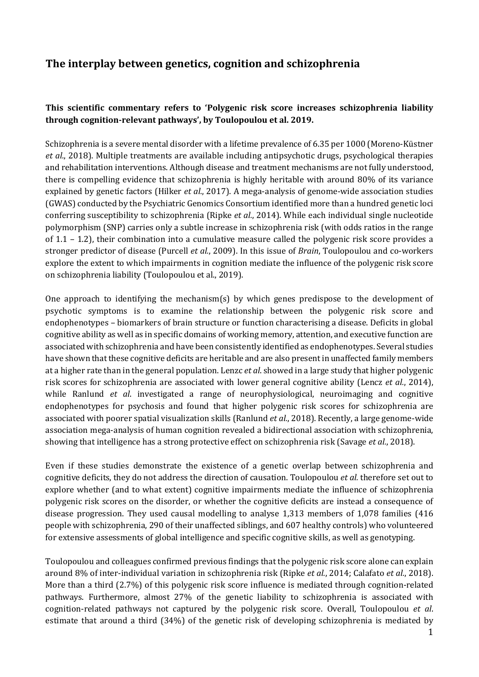# **The interplay between genetics, cognition and schizophrenia**

#### **This scientific commentary refers to 'Polygenic risk score increases schizophrenia liability through cognition-relevant pathways', by Toulopoulou et al. 2019.**

Schizophrenia is a severe mental disorder with a lifetime prevalence of 6.35 per 1000 (Moreno-Küstner *et al.*, 2018). Multiple treatments are available including antipsychotic drugs, psychological therapies and rehabilitation interventions. Although disease and treatment mechanisms are not fully understood, there is compelling evidence that schizophrenia is highly heritable with around 80% of its variance explained by genetic factors (Hilker *et al.*, 2017). A mega-analysis of genome-wide association studies (GWAS) conducted by the Psychiatric Genomics Consortium identified more than a hundred genetic loci conferring susceptibility to schizophrenia (Ripke *et al.*, 2014). While each individual single nucleotide polymorphism (SNP) carries only a subtle increase in schizophrenia risk (with odds ratios in the range of 1.1 – 1.2), their combination into a cumulative measure called the polygenic risk score provides a stronger predictor of disease (Purcell *et al.*, 2009). In this issue of *Brain*, Toulopoulou and co-workers explore the extent to which impairments in cognition mediate the influence of the polygenic risk score on schizophrenia liability (Toulopoulou et al., 2019).

One approach to identifying the mechanism(s) by which genes predispose to the development of psychotic symptoms is to examine the relationship between the polygenic risk score and endophenotypes – biomarkers of brain structure or function characterising a disease. Deficits in global cognitive ability as well as in specific domains of working memory, attention, and executive function are associated with schizophrenia and have been consistently identified as endophenotypes. Several studies have shown that these cognitive deficits are heritable and are also present in unaffected family members at a higher rate than in the general population. Lenzc *et al*. showed in a large study that higher polygenic risk scores for schizophrenia are associated with lower general cognitive ability (Lencz *et al.*, 2014), while Ranlund *et al*. investigated a range of neurophysiological, neuroimaging and cognitive endophenotypes for psychosis and found that higher polygenic risk scores for schizophrenia are associated with poorer spatial visualization skills (Ranlund *et al.*, 2018). Recently, a large genome-wide association mega-analysis of human cognition revealed a bidirectional association with schizophrenia, showing that intelligence has a strong protective effect on schizophrenia risk (Savage *et al.*, 2018).

Even if these studies demonstrate the existence of a genetic overlap between schizophrenia and cognitive deficits, they do not address the direction of causation. Toulopoulou *et al.* therefore set out to explore whether (and to what extent) cognitive impairments mediate the influence of schizophrenia polygenic risk scores on the disorder, or whether the cognitive deficits are instead a consequence of disease progression. They used causal modelling to analyse 1,313 members of 1,078 families (416 people with schizophrenia, 290 of their unaffected siblings, and 607 healthy controls) who volunteered for extensive assessments of global intelligence and specific cognitive skills, as well as genotyping.

Toulopoulou and colleagues confirmed previous findings that the polygenic risk score alone can explain around 8% of inter-individual variation in schizophrenia risk (Ripke *et al.*, 2014; Calafato *et al.*, 2018). More than a third (2.7%) of this polygenic risk score influence is mediated through cognition-related pathways. Furthermore, almost 27% of the genetic liability to schizophrenia is associated with cognition-related pathways not captured by the polygenic risk score. Overall, Toulopoulou *et al*. estimate that around a third (34%) of the genetic risk of developing schizophrenia is mediated by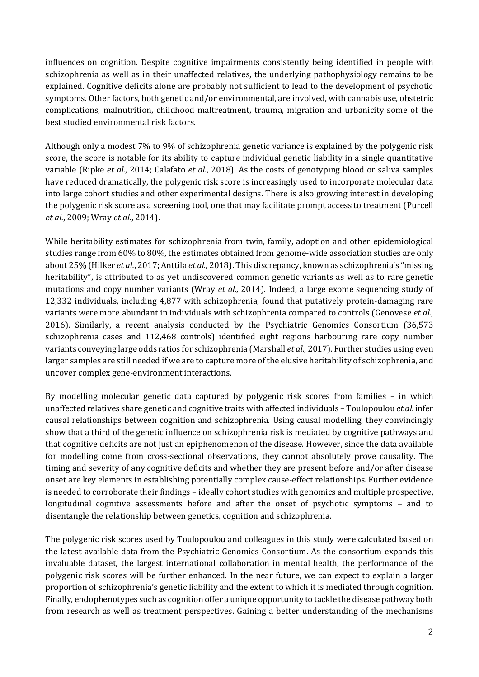influences on cognition. Despite cognitive impairments consistently being identified in people with schizophrenia as well as in their unaffected relatives, the underlying pathophysiology remains to be explained. Cognitive deficits alone are probably not sufficient to lead to the development of psychotic symptoms. Other factors, both genetic and/or environmental, are involved, with cannabis use, obstetric complications, malnutrition, childhood maltreatment, trauma, migration and urbanicity some of the best studied environmental risk factors.

Although only a modest 7% to 9% of schizophrenia genetic variance is explained by the polygenic risk score, the score is notable for its ability to capture individual genetic liability in a single quantitative variable (Ripke *et al.*, 2014; Calafato *et al.*, 2018). As the costs of genotyping blood or saliva samples have reduced dramatically, the polygenic risk score is increasingly used to incorporate molecular data into large cohort studies and other experimental designs. There is also growing interest in developing the polygenic risk score as a screening tool, one that may facilitate prompt access to treatment (Purcell *et al.*, 2009; Wray *et al.*, 2014).

While heritability estimates for schizophrenia from twin, family, adoption and other epidemiological studies range from 60% to 80%, the estimates obtained from genome-wide association studies are only about 25% (Hilker *et al.*, 2017; Anttila *et al.*, 2018). This discrepancy, known as schizophrenia's "missing heritability", is attributed to as yet undiscovered common genetic variants as well as to rare genetic mutations and copy number variants (Wray *et al.*, 2014). Indeed, a large exome sequencing study of 12,332 individuals, including 4,877 with schizophrenia, found that putatively protein-damaging rare variants were more abundant in individuals with schizophrenia compared to controls (Genovese *et al.*, 2016). Similarly, a recent analysis conducted by the Psychiatric Genomics Consortium (36,573 schizophrenia cases and 112,468 controls) identified eight regions harbouring rare copy number variants conveying large odds ratios for schizophrenia (Marshall *et al.*, 2017). Further studies using even larger samples are still needed if we are to capture more of the elusive heritability of schizophrenia, and uncover complex gene-environment interactions.

By modelling molecular genetic data captured by polygenic risk scores from families – in which unaffected relatives share genetic and cognitive traits with affected individuals – Toulopoulou *et al.* infer causal relationships between cognition and schizophrenia. Using causal modelling, they convincingly show that a third of the genetic influence on schizophrenia risk is mediated by cognitive pathways and that cognitive deficits are not just an epiphenomenon of the disease. However, since the data available for modelling come from cross-sectional observations, they cannot absolutely prove causality. The timing and severity of any cognitive deficits and whether they are present before and/or after disease onset are key elements in establishing potentially complex cause-effect relationships. Further evidence is needed to corroborate their findings – ideally cohort studies with genomics and multiple prospective, longitudinal cognitive assessments before and after the onset of psychotic symptoms – and to disentangle the relationship between genetics, cognition and schizophrenia.

The polygenic risk scores used by Toulopoulou and colleagues in this study were calculated based on the latest available data from the Psychiatric Genomics Consortium. As the consortium expands this invaluable dataset, the largest international collaboration in mental health, the performance of the polygenic risk scores will be further enhanced. In the near future, we can expect to explain a larger proportion of schizophrenia's genetic liability and the extent to which it is mediated through cognition. Finally, endophenotypes such as cognition offer a unique opportunity to tackle the disease pathway both from research as well as treatment perspectives. Gaining a better understanding of the mechanisms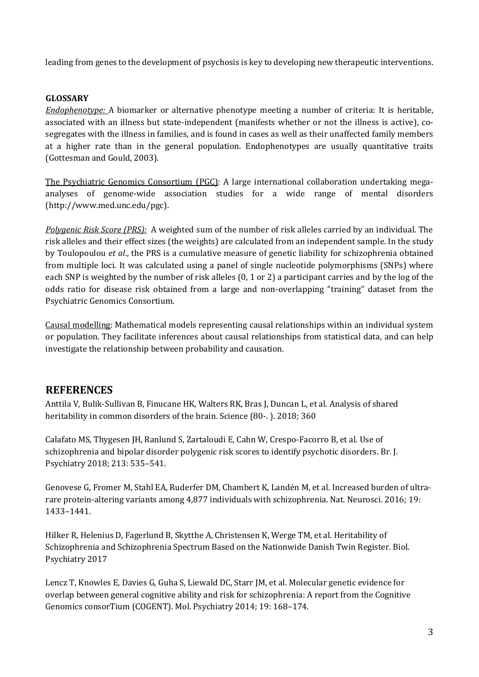leading from genes to the development of psychosis is key to developing new therapeutic interventions.

#### **GLOSSARY**

*Endophenotype:* A biomarker or alternative phenotype meeting a number of criteria: It is heritable, associated with an illness but state-independent (manifests whether or not the illness is active), cosegregates with the illness in families, and is found in cases as well as their unaffected family members at a higher rate than in the general population. Endophenotypes are usually quantitative traits (Gottesman and Gould, 2003).

The Psychiatric Genomics Consortium (PGC): A large international collaboration undertaking megaanalyses of genome-wide association studies for a wide range of mental disorders (http://www.med.unc.edu/pgc).

*Polygenic Risk Score (PRS):* A weighted sum of the number of risk alleles carried by an individual. The risk alleles and their effect sizes (the weights) are calculated from an independent sample. In the study by Toulopoulou *et al*., the PRS is a cumulative measure of genetic liability for schizophrenia obtained from multiple loci. It was calculated using a panel of single nucleotide polymorphisms (SNPs) where each SNP is weighted by the number of risk alleles (0, 1 or 2) a participant carries and by the log of the odds ratio for disease risk obtained from a large and non-overlapping "training" dataset from the Psychiatric Genomics Consortium.

Causal modelling: Mathematical models representing causal relationships within an individual system or population. They facilitate inferences about causal relationships from statistical data, and can help investigate the relationship between probability and causation.

### **REFERENCES**

Anttila V, Bulik-Sullivan B, Finucane HK, Walters RK, Bras J, Duncan L, et al. Analysis of shared heritability in common disorders of the brain. Science (80-. ). 2018; 360

Calafato MS, Thygesen JH, Ranlund S, Zartaloudi E, Cahn W, Crespo-Facorro B, et al. Use of schizophrenia and bipolar disorder polygenic risk scores to identify psychotic disorders. Br. J. Psychiatry 2018; 213: 535–541.

Genovese G, Fromer M, Stahl EA, Ruderfer DM, Chambert K, Landén M, et al. Increased burden of ultrarare protein-altering variants among 4,877 individuals with schizophrenia. Nat. Neurosci. 2016; 19: 1433–1441.

Hilker R, Helenius D, Fagerlund B, Skytthe A, Christensen K, Werge TM, et al. Heritability of Schizophrenia and Schizophrenia Spectrum Based on the Nationwide Danish Twin Register. Biol. Psychiatry 2017

Lencz T, Knowles E, Davies G, Guha S, Liewald DC, Starr JM, et al. Molecular genetic evidence for overlap between general cognitive ability and risk for schizophrenia: A report from the Cognitive Genomics consorTium (COGENT). Mol. Psychiatry 2014; 19: 168–174.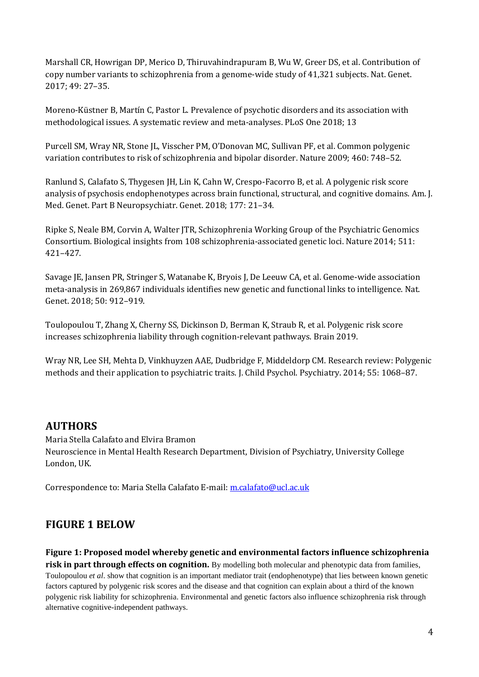Marshall CR, Howrigan DP, Merico D, Thiruvahindrapuram B, Wu W, Greer DS, et al. Contribution of copy number variants to schizophrenia from a genome-wide study of 41,321 subjects. Nat. Genet. 2017; 49: 27–35.

Moreno-Küstner B, Martín C, Pastor L. Prevalence of psychotic disorders and its association with methodological issues. A systematic review and meta-analyses. PLoS One 2018; 13

Purcell SM, Wray NR, Stone JL, Visscher PM, O'Donovan MC, Sullivan PF, et al. Common polygenic variation contributes to risk of schizophrenia and bipolar disorder. Nature 2009; 460: 748–52.

Ranlund S, Calafato S, Thygesen JH, Lin K, Cahn W, Crespo-Facorro B, et al. A polygenic risk score analysis of psychosis endophenotypes across brain functional, structural, and cognitive domains. Am. J. Med. Genet. Part B Neuropsychiatr. Genet. 2018; 177: 21–34.

Ripke S, Neale BM, Corvin A, Walter JTR, Schizophrenia Working Group of the Psychiatric Genomics Consortium. Biological insights from 108 schizophrenia-associated genetic loci. Nature 2014; 511: 421–427.

Savage JE, Jansen PR, Stringer S, Watanabe K, Bryois J, De Leeuw CA, et al. Genome-wide association meta-analysis in 269,867 individuals identifies new genetic and functional links to intelligence. Nat. Genet. 2018; 50: 912–919.

Toulopoulou T, Zhang X, Cherny SS, Dickinson D, Berman K, Straub R, et al. Polygenic risk score increases schizophrenia liability through cognition-relevant pathways. Brain 2019.

Wray NR, Lee SH, Mehta D, Vinkhuyzen AAE, Dudbridge F, Middeldorp CM. Research review: Polygenic methods and their application to psychiatric traits. J. Child Psychol. Psychiatry. 2014; 55: 1068–87.

### **AUTHORS**

Maria Stella Calafato and Elvira Bramon Neuroscience in Mental Health Research Department, Division of Psychiatry, University College London, UK.

Correspondence to: Maria Stella Calafato E-mail[: m.calafato@ucl.ac.uk](mailto:m.calafato@ucl.ac.uk)

## **FIGURE 1 BELOW**

**Figure 1: Proposed model whereby genetic and environmental factors influence schizophrenia** 

**risk in part through effects on cognition.** By modelling both molecular and phenotypic data from families, Toulopoulou *et al*. show that cognition is an important mediator trait (endophenotype) that lies between known genetic factors captured by polygenic risk scores and the disease and that cognition can explain about a third of the known polygenic risk liability for schizophrenia. Environmental and genetic factors also influence schizophrenia risk through alternative cognitive-independent pathways.